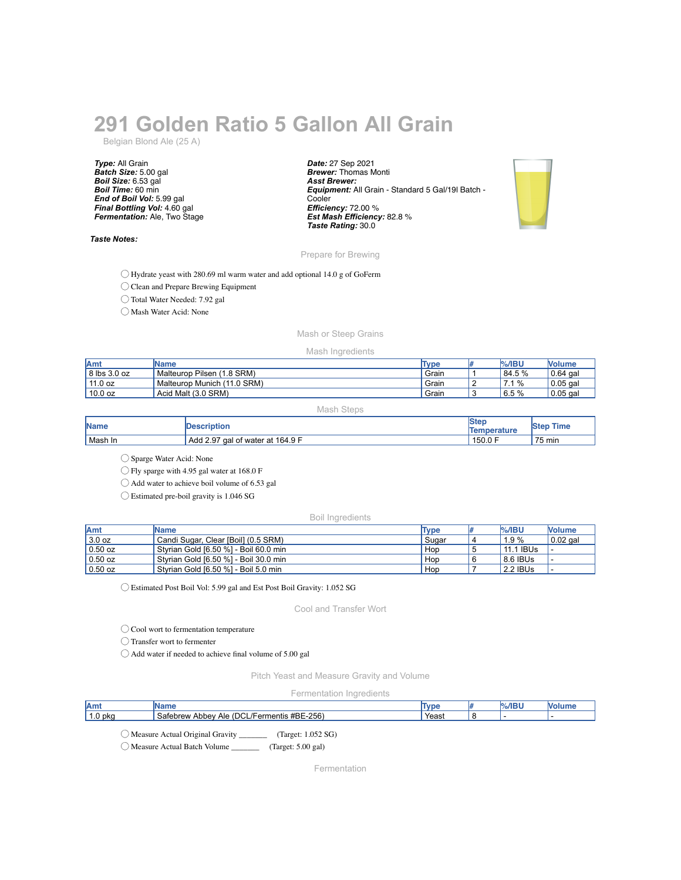# **291 Golden Ratio 5 Gallon All Grain**

Belgian Blond Ale (25 A)

*Type:* All Grain *Batch Size:* 5.00 gal *Boil Size:* 6.53 gal *Boil Time:* 60 min *End of Boil Vol:* 5.99 gal *Final Bottling Vol:* 4.60 gal *Fermentation:* Ale, Two Stage

## *Taste Notes:*

*Date:* 27 Sep 2021 *Brewer:* Thomas Monti *Asst Brewer: Equipment:* All Grain - Standard 5 Gal/19l Batch - **Cooler** *Efficiency:* 72.00 % *Est Mash Efficiency:* 82.8 % *Taste Rating:* 30.0



## Prepare for Brewing

◯ Hydrate yeast with 280.69 ml warm water and add optional 14.0 g of GoFerm

◯ Clean and Prepare Brewing Equipment

◯ Total Water Needed: 7.92 gal

◯ Mash Water Acid: None

# Mash or Steep Grains

### Mash Ingredients

| lAmt         | <b>IName</b>                       | Type  | $%$ /IBU        | Volume     |
|--------------|------------------------------------|-------|-----------------|------------|
| 8 lbs 3.0 oz | $(1.8$ SRM)<br>Pilsen<br>Malteurop | Grain | 84.5 %          | $0.64$ gal |
| 11.0 oz      | $(11.0$ SRM)<br>Malteurop Munich   | Grain | $\%$<br>$\cdot$ | $0.05$ gal |
| 10.0 oz      | Acid Malt (3.0 SRM)                | Grain | 5%<br>6.5       | $0.05$ gal |

Mash Steps

| <b>Name</b> | <b>Description</b>               | <b>Ster</b><br><b>Temperature</b> | <b>Time</b><br>Step |
|-------------|----------------------------------|-----------------------------------|---------------------|
| Mash In     | Add 2.97 gal of water at 164.9 F | 150.0 F                           | 75 min              |

◯ Sparge Water Acid: None

◯ Fly sparge with 4.95 gal water at 168.0 F

◯ Add water to achieve boil volume of 6.53 gal

◯ Estimated pre-boil gravity is 1.046 SG

#### Boil Ingredients

| <b>Amt</b> | <b>IName</b>                          | Type  | $\frac{9}{6}$ /IBU | <b>Nolume</b> |
|------------|---------------------------------------|-------|--------------------|---------------|
| 3.0 oz     | Candi Sugar, Clear [Boil] (0.5 SRM)   | Sugar | 1.9%               | $0.02$ gal    |
| $0.50$ oz  | Styrian Gold [6.50 %] - Boil 60.0 min | Hop   | 11.1 IBUs          |               |
| $0.50$ oz  | Styrian Gold [6.50 %] - Boil 30.0 min | Hop   | 8.6 IBUs           |               |
| $0.50$ oz  | Styrian Gold [6.50 %] - Boil 5.0 min  | Hop   | 2.2 IBUS           |               |

◯ Estimated Post Boil Vol: 5.99 gal and Est Post Boil Gravity: 1.052 SG

Cool and Transfer Wort

◯ Cool wort to fermentation temperature

◯ Transfer wort to fermenter

◯ Add water if needed to achieve final volume of 5.00 gal

Pitch Yeast and Measure Gravity and Volume

Fermentation Ingredients

| Amt                |                                                             | Tyne<br>סעו | %/IBI |  |
|--------------------|-------------------------------------------------------------|-------------|-------|--|
| 1.0 <sub>pkg</sub> | L/Fermentis #BE-256)<br>(DCL)<br>Safebrew<br>Abbey<br>Ale ( | Yeasu       |       |  |
| $\sim$             |                                                             |             |       |  |

◯ Measure Actual Original Gravity \_\_\_\_\_\_\_ (Target: 1.052 SG)

◯ Measure Actual Batch Volume \_\_\_\_\_\_\_ (Target: 5.00 gal)

Fermentation